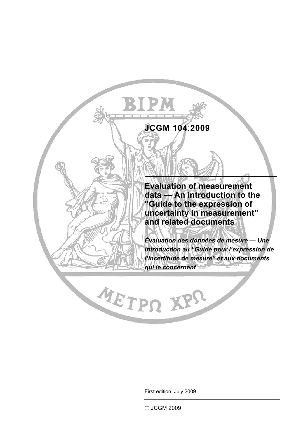# **JCGM 104**:**2009**

<span id="page-0-0"></span>BIPM

**Evaluation of measurement data — An introduction to the "Guide to the expression of uncertainty in measurement" and related documents** 

*Évaluation des données de mesure — Une introduction au "Guide pour l'expression de l'incertitude de mesure" et aux documents qui le concernent* 

First edition July 2009

© JCGM 2009

METPO XPN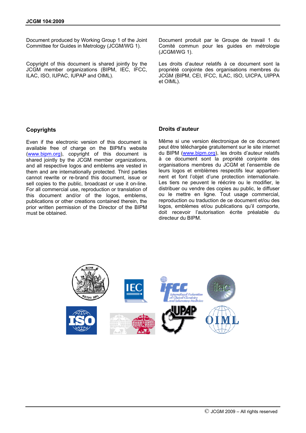Document produced by Working Group 1 of the Joint Committee for Guides in Metrology (JCGM/WG 1).

Copyright of this document is shared jointly by the JCGM member organizations (BIPM, IEC, IFCC, ILAC, ISO, IUPAC, IUPAP and OIML).

Document produit par le Groupe de travail 1 du Comité commun pour les guides en métrologie (JCGM/WG 1).

Les droits d'auteur relatifs à ce document sont la propriété conjointe des organisations membres du JCGM (BIPM, CEI, IFCC, ILAC, ISO, UICPA, UIPPA et OIML).

## **Copyrights**

Even if the electronic version of this document is available free of charge on the BIPM's website (www.bipm.org), copyright of this document is shared jointly by the JCGM member organizations, and all respective logos and emblems are vested in them and are internationally protected. Third parties cannot rewrite or re-brand this document, issue or sell copies to the public, broadcast or use it on-line. For all commercial use, reproduction or translation of this document and/or of the logos, emblems, publications or other creations contained therein, the prior written permission of the Director of the BIPM must be obtained.

## **Droits d'auteur**

Même si une version électronique de ce document peut être téléchargée gratuitement sur le site internet du BIPM (www.bipm.org), les droits d'auteur relatifs à ce document sont la propriété conjointe des organisations membres du JCGM et l'ensemble de leurs logos et emblèmes respectifs leur appartiennent et font l'objet d'une protection internationale. Les tiers ne peuvent le réécrire ou le modifier, le distribuer ou vendre des copies au public, le diffuser ou le mettre en ligne. Tout usage commercial, reproduction ou traduction de ce document et/ou des logos, emblèmes et/ou publications qu'il comporte, doit recevoir l'autorisation écrite préalable du directeur du BIPM.

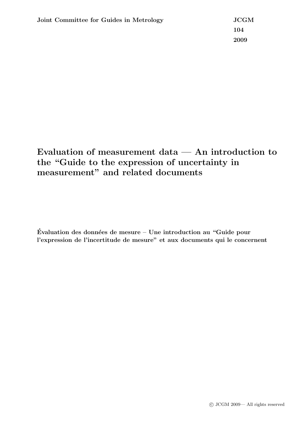# Evaluation of measurement data — An introduction to the "Guide to the expression of uncertainty in measurement" and related documents

Évaluation des données de mesure – Une introduction au "Guide pour l'expression de l'incertitude de mesure" et aux documents qui le concernent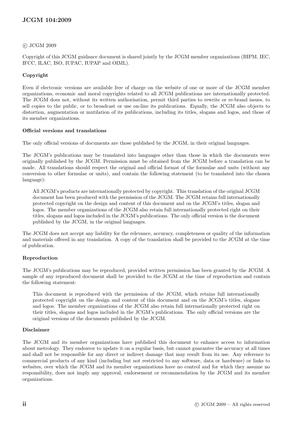#### c JCGM 2009

Copyright of this JCGM guidance document is shared jointly by the JCGM member organizations (BIPM, IEC, IFCC, ILAC, ISO, IUPAC, IUPAP and OIML).

#### Copyright

Even if electronic versions are available free of charge on the website of one or more of the JCGM member organizations, economic and moral copyrights related to all JCGM publications are internationally protected. The JCGM does not, without its written authorisation, permit third parties to rewrite or re-brand issues, to sell copies to the public, or to broadcast or use on-line its publications. Equally, the JCGM also objects to distortion, augmentation or mutilation of its publications, including its titles, slogans and logos, and those of its member organizations.

#### Official versions and translations

The only official versions of documents are those published by the JCGM, in their original languages.

The JCGM's publications may be translated into languages other than those in which the documents were originally published by the JCGM. Permission must be obtained from the JCGM before a translation can be made. All translations should respect the original and official format of the formulae and units (without any conversion to other formulae or units), and contain the following statement (to be translated into the chosen language):

All JCGM's products are internationally protected by copyright. This translation of the original JCGM document has been produced with the permission of the JCGM. The JCGM retains full internationally protected copyright on the design and content of this document and on the JCGM's titles, slogan and logos. The member organizations of the JCGM also retain full internationally protected right on their titles, slogans and logos included in the JCGM's publications. The only official version is the document published by the JCGM, in the original languages.

The JCGM does not accept any liability for the relevance, accuracy, completeness or quality of the information and materials offered in any translation. A copy of the translation shall be provided to the JCGM at the time of publication.

#### Reproduction

The JCGM's publications may be reproduced, provided written permission has been granted by the JCGM. A sample of any reproduced document shall be provided to the JCGM at the time of reproduction and contain the following statement:

This document is reproduced with the permission of the JCGM, which retains full internationally protected copyright on the design and content of this document and on the JCGM's titles, slogans and logos. The member organizations of the JCGM also retain full internationally protected right on their titles, slogans and logos included in the JCGM's publications. The only official versions are the original versions of the documents published by the JCGM.

#### Disclaimer

The JCGM and its member organizations have published this document to enhance access to information about metrology. They endeavor to update it on a regular basis, but cannot guarantee the accuracy at all times and shall not be responsible for any direct or indirect damage that may result from its use. Any reference to commercial products of any kind (including but not restricted to any software, data or hardware) or links to websites, over which the JCGM and its member organizations have no control and for which they assume no responsibility, does not imply any approval, endorsement or recommendation by the JCGM and its member organizations.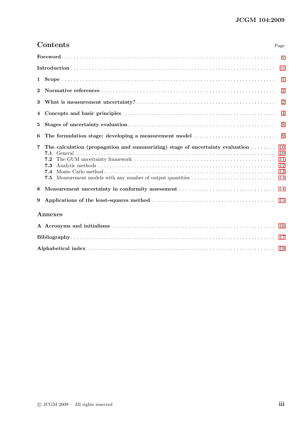# Contents Page

|              |                                                                                                                                | vi                               |
|--------------|--------------------------------------------------------------------------------------------------------------------------------|----------------------------------|
| $\mathbf 1$  |                                                                                                                                | -1                               |
| $\mathbf{2}$ |                                                                                                                                | $\overline{2}$                   |
| 3            |                                                                                                                                | $\overline{2}$                   |
| 4            |                                                                                                                                | $\overline{4}$                   |
| 5            |                                                                                                                                | 8                                |
| 6            | The formulation stage: developing a measurement model                                                                          | 9                                |
| 7            | The calculation (propagation and summarizing) stage of uncertainty evaluation $\dots \dots$<br>7.1<br>7.2<br>7.3<br>7.4<br>7.5 | 10<br>10<br>11<br>12<br>13<br>13 |
| 8            | Measurement uncertainty in conformity assessment                                                                               | -14                              |
| 9            |                                                                                                                                | -15                              |
|              | Annexes                                                                                                                        |                                  |
|              |                                                                                                                                | -16                              |
|              |                                                                                                                                | -17                              |
|              |                                                                                                                                | -19                              |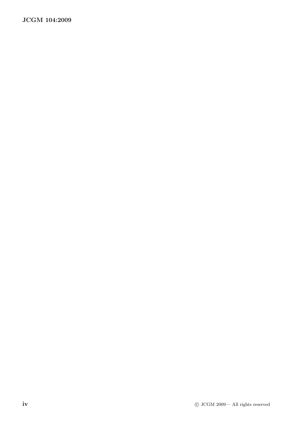## JCGM 104:2009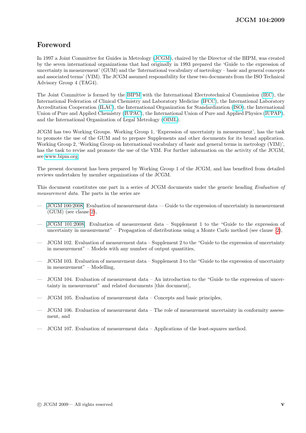# <span id="page-6-0"></span>Foreword

In 1997 a Joint Committee for Guides in Metrology [\(JCGM\)](http://www.bipm.org/en/committees/jc/jcgm/), chaired by the Director of the BIPM, was created by the seven international organizations that had originally in 1993 prepared the 'Guide to the expression of uncertainty in measurement' (GUM) and the 'International vocabulary of metrology – basic and general concepts and associated terms' (VIM). The JCGM assumed responsibility for these two documents from the ISO Technical Advisory Group 4 (TAG4).

The Joint Committee is formed by the [BIPM](http://www.bipm.org/) with the International Electrotechnical Commission [\(IEC\)](http://www.iec.ch/), the International Federation of Clinical Chemistry and Laboratory Medicine [\(IFCC\)](http://www.ifcc.org/), the International Laboratory Accreditation Cooperation [\(ILAC\)](http://www.ilac.org/), the International Organization for Standardization [\(ISO\)](http://www.iso.org/), the International Union of Pure and Applied Chemistry [\(IUPAC\)](http://www.iupac.org/), the International Union of Pure and Applied Physics [\(IUPAP\)](http://www.iupap.org/), and the International Organization of Legal Metrology [\(OIML\)](http://www.oiml.org/).

JCGM has two Working Groups. Working Group 1, 'Expression of uncertainty in measurement', has the task to promote the use of the GUM and to prepare Supplements and other documents for its broad application. Working Group 2, 'Working Group on International vocabulary of basic and general terms in metrology (VIM)', has the task to revise and promote the use of the VIM. For further information on the activity of the JCGM, see [www.bipm.org.](http://www.bipm.org)

The present document has been prepared by Working Group 1 of the JCGM, and has benefited from detailed reviews undertaken by member organizations of the JCGM.

This document constitutes one part in a series of JCGM documents under the generic heading Evaluation of measurement data. The parts in the series are

- — [JCGM 100:2008.](#page-0-0) Evaluation of measurement data Guide to the expression of uncertainty in measurement (GUM) (see clause [2\)](#page-9-0),
- — [JCGM 101:2008.](#page-0-0) Evaluation of measurement data Supplement 1 to the "Guide to the expression of uncertainty in measurement" – Propagation of distributions using a Monte Carlo method (see clause [2\)](#page-9-0),
- JCGM 102. Evaluation of measurement data Supplement 2 to the "Guide to the expression of uncertainty in measurement" – Models with any number of output quantities,
- JCGM 103. Evaluation of measurement data Supplement 3 to the "Guide to the expression of uncertainty in measurement" – Modelling,
- JCGM 104. Evaluation of measurement data An introduction to the "Guide to the expression of uncertainty in measurement" and related documents [this document],
- JCGM 105. Evaluation of measurement data Concepts and basic principles,
- JCGM 106. Evaluation of measurement data The role of measurement uncertainty in conformity assessment, and
- JCGM 107. Evaluation of measurement data Applications of the least-squares method.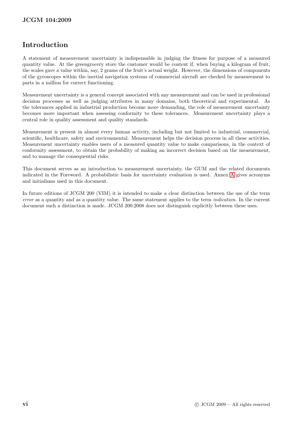# <span id="page-7-0"></span>Introduction

A statement of measurement uncertainty is indispensable in judging the fitness for purpose of a measured quantity value. At the greengrocery store the customer would be content if, when buying a kilogram of fruit, the scales gave a value within, say, 2 grams of the fruit's actual weight. However, the dimensions of components of the gyroscopes within the inertial navigation systems of commercial aircraft are checked by measurement to parts in a million for correct functioning.

Measurement uncertainty is a general concept associated with any measurement and can be used in professional decision processes as well as judging attributes in many domains, both theoretical and experimental. As the tolerances applied in industrial production become more demanding, the role of measurement uncertainty becomes more important when assessing conformity to these tolerances. Measurement uncertainty plays a central role in quality assessment and quality standards.

Measurement is present in almost every human activity, including but not limited to industrial, commercial, scientific, healthcare, safety and environmental. Measurement helps the decision process in all these activities. Measurement uncertainty enables users of a measured quantity value to make comparisons, in the context of conformity assessment, to obtain the probability of making an incorrect decision based on the measurement, and to manage the consequential risks.

This document serves as an introduction to measurement uncertainty, the GUM and the related documents indicated in the Foreword. A probabilistic basis for uncertainty evaluation is used. Annex [A](#page-23-0) gives acronyms and initialisms used in this document.

In future editions of JCGM 200 (VIM) it is intended to make a clear distinction between the use of the term error as a quantity and as a quantity value. The same statement applies to the term indication. In the current document such a distinction is made. JCGM 200:2008 does not distinguish explicitly between these uses.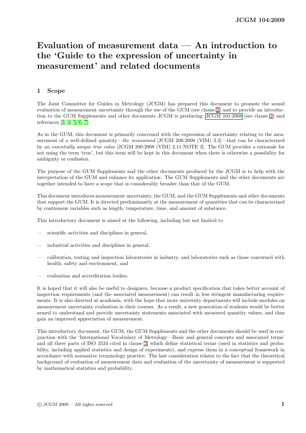# Evaluation of measurement data — An introduction to the 'Guide to the expression of uncertainty in measurement' and related documents

## <span id="page-8-0"></span>1 Scope

The Joint Committee for Guides in Metrology (JCGM) has prepared this document to promote the sound evaluation of measurement uncertainty through the use of the GUM (see clause [2\)](#page-9-0) and to provide an introduction to the GUM Supplements and other documents JCGM is producing: [JCGM 101:2008](#page-0-0) (see clause [2\)](#page-9-0) and references [\[3,](#page-24-1) [4,](#page-24-2) [5,](#page-24-3) [6,](#page-24-4) [7\]](#page-24-5).

As in the GUM, this document is primarily concerned with the expression of uncertainty relating to the measurement of a well-defined quantity—the measurand [JCGM 200:2008 (VIM) 2.3]—that can be characterized by an essentially unique true value [JCGM 200:2008 (VIM) 2.11 NOTE 3]. The GUM provides a rationale for not using the term 'true', but this term will be kept in this document when there is otherwise a possibility for ambiguity or confusion.

The purpose of the GUM Supplements and the other documents produced by the JCGM is to help with the interpretation of the GUM and enhance its application. The GUM Supplements and the other documents are together intended to have a scope that is considerably broader than that of the GUM.

This document introduces measurement uncertainty, the GUM, and the GUM Supplements and other documents that support the GUM. It is directed predominantly at the measurement of quantities that can be characterized by continuous variables such as length, temperature, time, and amount of substance.

This introductory document is aimed at the following, including but not limited to

- scientific activities and disciplines in general,
- industrial activities and disciplines in general,
- calibration, testing and inspection laboratories in industry, and laboratories such as those concerned with health, safety and environment, and
- evaluation and accreditation bodies.

It is hoped that it will also be useful to designers, because a product specification that takes better account of inspection requirements (and the associated measurement) can result in less stringent manufacturing requirements. It is also directed at academia, with the hope that more university departments will include modules on measurement uncertainty evaluation in their courses. As a result, a new generation of students would be better armed to understand and provide uncertainty statements associated with measured quantity values, and thus gain an improved appreciation of measurement.

This introductory document, the GUM, the GUM Supplements and the other documents should be used in conjunction with the 'International Vocabulary of Metrology—Basic and general concepts and associated terms' and all three parts of ISO 3534 cited in clause [2,](#page-9-0) which define statistical terms (used in statistics and probability, including applied statistics and design of experiments), and express them in a conceptual framework in accordance with normative terminology practice. The last consideration relates to the fact that the theoretical background of evaluation of measurement data and evaluation of the uncertainty of measurement is supported by mathematical statistics and probability.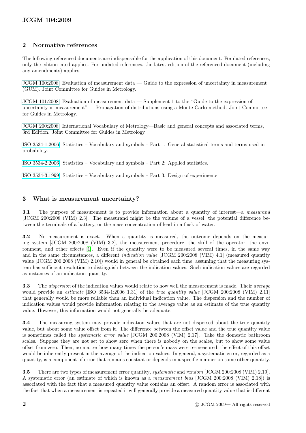## <span id="page-9-0"></span>2 Normative references

The following referenced documents are indispensable for the application of this document. For dated references, only the edition cited applies. For undated references, the latest edition of the referenced document (including any amendments) applies.

[JCGM 100:2008.](#page-0-0) Evaluation of measurement data — Guide to the expression of uncertainty in measurement (GUM). Joint Committee for Guides in Metrology.

[JCGM 101:2008.](#page-0-0) Evaluation of measurement data — Supplement 1 to the "Guide to the expression of uncertainty in measurement" — Propagation of distributions using a Monte Carlo method. Joint Committee for Guides in Metrology.

[JCGM 200:2008.](#page-0-0) International Vocabulary of Metrology—Basic and general concepts and associated terms, 3rd Edition. Joint Committee for Guides in Metrology

[ISO 3534-1:2006.](http://www.iso.org/iso/iso_catalogue/catalogue_tc/catalogue_detail.htm?csnumber=40145) Statistics – Vocabulary and symbols – Part 1: General statistical terms and terms used in probability.

[ISO 3534-2:2006.](http://www.iso.org/iso/iso_catalogue/catalogue_tc/catalogue_detail.htm?csnumber=40147) Statistics – Vocabulary and symbols – Part 2: Applied statistics.

[ISO 3534-3:1999.](http://www.iso.org/iso/iso_catalogue/catalogue_tc/catalogue_detail.htm?csnumber=20236) Statistics – Vocabulary and symbols – Part 3: Design of experiments.

## <span id="page-9-2"></span><span id="page-9-1"></span>3 What is measurement uncertainty?

3.1 The purpose of measurement is to provide information about a quantity of interest—a *measurand* [JCGM 200:2008 (VIM) 2.3]. The measurand might be the volume of a vessel, the potential difference between the terminals of a battery, or the mass concentration of lead in a flask of water.

<span id="page-9-3"></span>3.2 No measurement is exact. When a quantity is measured, the outcome depends on the measuring system [JCGM 200:2008 (VIM) 3.2], the measurement procedure, the skill of the operator, the environment, and other effects [\[1\]](#page-24-6). Even if the quantity were to be measured several times, in the same way and in the same circumstances, a different *indication value* [JCGM 200:2008 (VIM) 4.1] (measured quantity value [JCGM 200:2008 (VIM) 2.10]) would in general be obtained each time, assuming that the measuring system has sufficient resolution to distinguish between the indication values. Such indication values are regarded as instances of an indication quantity.

<span id="page-9-4"></span>**3.3** The *dispersion* of the indication values would relate to how well the measurement is made. Their *average* would provide an estimate [ISO 3534-1:2006 1.31] of the true quantity value [JCGM 200:2008 (VIM) 2.11] that generally would be more reliable than an individual indication value. The dispersion and the number of indication values would provide information relating to the average value as an estimate of the true quantity value. However, this information would not generally be adequate.

3.4 The measuring system may provide indication values that are not dispersed about the true quantity value, but about some value offset from it. The difference between the offset value and the true quantity value is sometimes called the systematic error value [JCGM 200:2008 (VIM) 2.17]. Take the domestic bathroom scales. Suppose they are not set to show zero when there is nobody on the scales, but to show some value offset from zero. Then, no matter how many times the person's mass were re-measured, the effect of this offset would be inherently present in the average of the indication values. In general, a systematic error, regarded as a quantity, is a component of error that remains constant or depends in a specific manner on some other quantity.

3.5 There are two types of measurement error quantity, systematic and random [JCGM 200:2008 (VIM) 2.19]. A systematic error (an estimate of which is known as a measurement bias [JCGM 200:2008 (VIM) 2.18]) is associated with the fact that a measured quantity value contains an offset. A random error is associated with the fact that when a measurement is repeated it will generally provide a measured quantity value that is different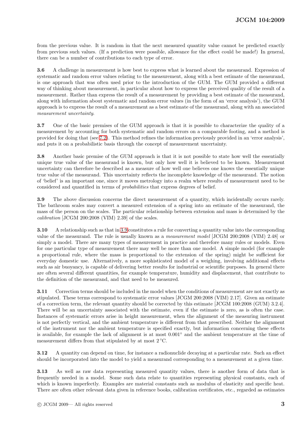from the previous value. It is random in that the next measured quantity value cannot be predicted exactly from previous such values. (If a prediction were possible, allowance for the effect could be made!) In general, there can be a number of contributions to each type of error.

<span id="page-10-1"></span>3.6 A challenge in measurement is how best to express what is learned about the measurand. Expression of systematic and random error values relating to the measurement, along with a best estimate of the measurand, is one approach that was often used prior to the introduction of the GUM. The GUM provided a different way of thinking about measurement, in particular about how to express the perceived quality of the result of a measurement. Rather than express the result of a measurement by providing a best estimate of the measurand, along with information about systematic and random error values (in the form of an 'error analysis'), the GUM approach is to express the result of a measurement as a best estimate of the measurand, along with an associated measurement uncertainty.

3.7 One of the basic premises of the GUM approach is that it is possible to characterize the quality of a measurement by accounting for both systematic and random errors on a comparable footing, and a method is provided for doing that (see [7.2\)](#page-18-0). This method refines the information previously provided in an 'error analysis', and puts it on a probabilistic basis through the concept of measurement uncertainty.

<span id="page-10-2"></span>3.8 Another basic premise of the GUM approach is that it is not possible to state how well the essentially unique true value of the measurand is known, but only how well it is believed to be known. Measurement uncertainty can therefore be described as a measure of how well one believes one knows the essentially unique true value of the measurand. This uncertainty reflects the incomplete knowledge of the measurand. The notion of 'belief' is an important one, since it moves metrology into a realm where results of measurement need to be considered and quantified in terms of probabilities that express degrees of belief.

<span id="page-10-0"></span>3.9 The above discussion concerns the direct measurement of a quantity, which incidentally occurs rarely. The bathroom scales may convert a measured extension of a spring into an estimate of the measurand, the mass of the person on the scales. The particular relationship between extension and mass is determined by the calibration [JCGM 200:2008 (VIM) 2.39] of the scales.

3.10 A relationship such as that in [3.9](#page-10-0) constitutes a rule for converting a quantity value into the corresponding value of the measurand. The rule is usually known as a measurement model [JCGM 200:2008 (VIM) 2.48] or simply a model. There are many types of measurement in practice and therefore many rules or models. Even for one particular type of measurement there may well be more than one model. A simple model (for example a proportional rule, where the mass is proportional to the extension of the spring) might be sufficient for everyday domestic use. Alternatively, a more sophisticated model of a weighing, involving additional effects such as air buoyancy, is capable of delivering better results for industrial or scientific purposes. In general there are often several different quantities, for example temperature, humidity and displacement, that contribute to the definition of the measurand, and that need to be measured.

3.11 Correction terms should be included in the model when the conditions of measurement are not exactly as stipulated. These terms correspond to systematic error values [JCGM 200:2008 (VIM) 2.17]. Given an estimate of a correction term, the relevant quantity should be corrected by this estimate [JCGM 100:2008 (GUM) 3.2.4]. There will be an uncertainty associated with the estimate, even if the estimate is zero, as is often the case. Instances of systematic errors arise in height measurement, when the alignment of the measuring instrument is not perfectly vertical, and the ambient temperature is different from that prescribed. Neither the alignment of the instrument nor the ambient temperature is specified exactly, but information concerning these effects is available, for example the lack of alignment is at most 0.001◦ and the ambient temperature at the time of measurement differs from that stipulated by at most  $2 \degree C$ .

3.12 A quantity can depend on time, for instance a radionuclide decaying at a particular rate. Such an effect should be incorporated into the model to yield a measurand corresponding to a measurement at a given time.

3.13 As well as raw data representing measured quantity values, there is another form of data that is frequently needed in a model. Some such data relate to quantities representing physical constants, each of which is known imperfectly. Examples are material constants such as modulus of elasticity and specific heat. There are often other relevant data given in reference books, calibration certificates, etc., regarded as estimates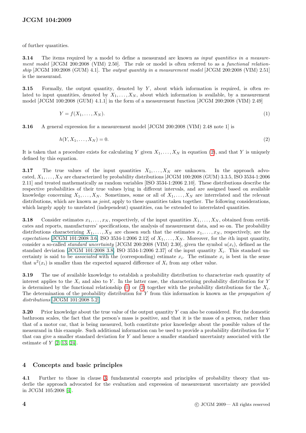of further quantities.

**3.14** The items required by a model to define a measurand are known as *input quantities in a measure*ment model [JCGM 200:2008 (VIM) 2.50]. The rule or model is often referred to as a functional relationship [JCGM 100:2008 (GUM) 4.1]. The *output quantity in a measurement model* [JCGM 200:2008 (VIM) 2.51] is the measurand.

<span id="page-11-7"></span>3.15 Formally, the output quantity, denoted by  $Y$ , about which information is required, is often related to input quantities, denoted by  $X_1, \ldots, X_N$ , about which information is available, by a measurement model [JCGM 100:2008 (GUM) 4.1.1] in the form of a measurement function [JCGM 200:2008 (VIM) 2.49]

<span id="page-11-2"></span>
$$
Y = f(X_1, \dots, X_N). \tag{1}
$$

<span id="page-11-8"></span>3.16 A general expression for a measurement model [JCGM 200:2008 (VIM) 2.48 note 1] is

<span id="page-11-1"></span>
$$
h(Y, X_1, \dots, X_N) = 0. \tag{2}
$$

It is taken that a procedure exists for calculating Y given  $X_1, \ldots, X_N$  in equation [\(2\)](#page-11-1), and that Y is uniquely defined by this equation.

<span id="page-11-3"></span>**3.17** The true values of the input quantities  $X_1, \ldots, X_N$  are unknown. In the approach advocated,  $X_1, \ldots, X_N$  are characterized by probability distributions [JCGM 100:2008 (GUM) 3.3.5, ISO 3534-1:2006 2.11] and treated mathematically as random variables [ISO 3534-1:2006 2.10]. These distributions describe the respective probabilities of their true values lying in different intervals, and are assigned based on available knowledge concerning  $X_1, \ldots, X_N$ . Sometimes, some or all of  $X_1, \ldots, X_N$  are interrelated and the relevant distributions, which are known as *joint*, apply to these quantities taken together. The following considerations, which largely apply to unrelated (independent) quantities, can be extended to interrelated quantities.

<span id="page-11-5"></span>3.18 Consider estimates  $x_1, \ldots, x_N$ , respectively, of the input quantities  $X_1, \ldots, X_N$ , obtained from certificates and reports, manufacturers' specifications, the analysis of measurement data, and so on. The probability distributions characterizing  $X_1, \ldots, X_N$  are chosen such that the estimates  $x_1, \ldots, x_N$ , respectively, are the expectations [\[JCGM 101:2008 3.6,](#page-10-1) ISO 3534-1:2006 2.12] of  $X_1, \ldots, X_N$ . Moreover, for the *i*th input quantity, consider a so-called *standard uncertainty* [JCGM 200:2008 (VIM) 2.30], given the symbol  $u(x_i)$ , defined as the standard deviation [\[JCGM 101:2008 3.8,](#page-10-2) ISO 3534-1:2006 2.37] of the input quantity  $X_i$ . This standard uncertainty is said to be *associated* with the (corresponding) estimate  $x_i$ . The estimate  $x_i$  is best in the sense that  $u^2(x_i)$  is smaller than the expected squared difference of  $X_i$  from any other value.

<span id="page-11-6"></span>3.19 The use of available knowledge to establish a probability distribution to characterize each quantity of interest applies to the  $X_i$  and also to Y. In the latter case, the characterizing probability distribution for Y is determined by the functional relationship [\(1\)](#page-11-2) or [\(2\)](#page-11-1) together with the probability distributions for the  $X_i$ . The determination of the probability distribution for  $Y$  from this information is known as the *propagation of* distributions [JCGM 101:2008 5.2].

<span id="page-11-4"></span>**3.20** Prior knowledge about the true value of the output quantity  $Y$  can also be considered. For the domestic bathroom scales, the fact that the person's mass is positive, and that it is the mass of a person, rather than that of a motor car, that is being measured, both constitute prior knowledge about the possible values of the measurand in this example. Such additional information can be used to provide a probability distribution for Y that can give a smaller standard deviation for Y and hence a smaller standard uncertainty associated with the estimate of  $Y$  [\[2,](#page-24-7) [13,](#page-24-8) [24\]](#page-25-0).

#### <span id="page-11-9"></span><span id="page-11-0"></span>4 Concepts and basic principles

4.1 Further to those in clause [3,](#page-9-1) fundamental concepts and principles of probability theory that underlie the approach advocated for the evaluation and expression of measurement uncertainty are provided in JCGM 105:2008 [\[4\]](#page-24-2).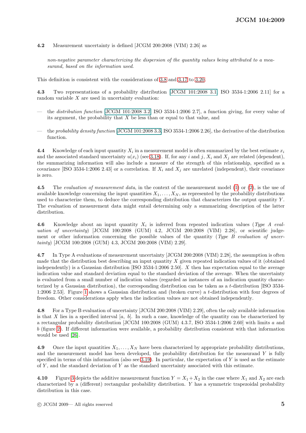4.2 Measurement uncertainty is defined [JCGM 200:2008 (VIM) 2.26] as

non-negative parameter characterizing the dispersion of the quantity values being attributed to a measurand, based on the information used.

This definition is consistent with the considerations of [3.8](#page-10-2) and [3.17](#page-11-3) to [3.20.](#page-11-4)

4.3 Two representations of a probability distribution [\[JCGM 101:2008 3.1,](#page-9-2) ISO 3534-1:2006 2.11] for a random variable  $X$  are used in uncertainty evaluation:

- the distribution function [\[JCGM 101:2008 3.2,](#page-9-3) ISO 3534-1:2006 2.7], a function giving, for every value of its argument, the probability that  $X$  be less than or equal to that value, and
- the probability density function [\[JCGM 101:2008 3.3,](#page-9-4) ISO 3534-1:2006 2.26], the derivative of the distribution function.

**4.4** Knowledge of each input quantity  $X_i$  in a measurement model is often summarized by the best estimate  $x_i$ and the associated standard uncertainty  $u(x_i)$  (see [3.18\)](#page-11-5). If, for any i and j,  $X_i$  and  $X_j$  are related (dependent), the summarizing information will also include a measure of the strength of this relationship, specified as a covariance [ISO 3534-1:2006 2.43] or a correlation. If  $X_i$  and  $X_j$  are unrelated (independent), their covariance is zero.

4.5 The evaluation of measurement data, in the context of the measurement model [\(1\)](#page-11-2) or [\(2\)](#page-11-1), is the use of available knowledge concerning the input quantities  $X_1, \ldots, X_N$ , as represented by the probability distributions used to characterize them, to deduce the corresponding distribution that characterizes the output quantity Y . The evaluation of measurement data might entail determining only a summarizing description of the latter distribution.

**4.6** Knowledge about an input quantity  $X_i$  is inferred from repeated indication values (*Type A eval*uation of uncertainty)  $[JCGM 100:2008 (GUM) 4.2, JCGM 200:2008 (VIM) 2.28]$ , or scientific judgement or other information concerning the possible values of the quantity (Type B evaluation of uncertainty) [JCGM 100:2008 (GUM) 4.3, JCGM 200:2008 (VIM) 2.29].

4.7 In Type A evaluations of measurement uncertainty [JCGM 200:2008 (VIM) 2.28], the assumption is often made that the distribution best describing an input quantity  $X$  given repeated indication values of it (obtained independently) is a Gaussian distribution [ISO 3534-1:2006 2.50].  $X$  then has expectation equal to the average indication value and standard deviation equal to the standard deviation of the average. When the uncertainty is evaluated from a small number of indication values (regarded as instances of an indication quantity characterized by a Gaussian distribution), the corresponding distribution can be taken as a t-distribution [ISO 3534- 1:2006 2.53]. Figure [1](#page-13-0) shows a Gaussian distribution and (broken curve) a t-distribution with four degrees of freedom. Other considerations apply when the indication values are not obtained independently.

<span id="page-12-0"></span>4.8 For a Type B evaluation of uncertainty [JCGM 200:2008 (VIM) 2.29], often the only available information is that X lies in a specified interval  $[a, b]$ . In such a case, knowledge of the quantity can be characterized by a rectangular probability distribution [JCGM 100:2008 (GUM) 4.3.7, ISO 3534-1:2006 2.60] with limits a and b (figure [2\)](#page-13-1). If different information were available, a probability distribution consistent with that information would be used [\[26\]](#page-25-1).

4.9 Once the input quantities  $X_1, \ldots, X_N$  have been characterized by appropriate probability distributions, and the measurement model has been developed, the probability distribution for the measurand  $Y$  is fully specified in terms of this information (also see [3.19\)](#page-11-6). In particular, the expectation of  $Y$  is used as the estimate of Y , and the standard deviation of Y as the standard uncertainty associated with this estimate.

4.10 Figure [3](#page-14-0) depicts the additive measurement function  $Y = X_1 + X_2$  in the case where  $X_1$  and  $X_2$  are each characterized by a (different) rectangular probability distribution. Y has a symmetric trapezoidal probability distribution in this case.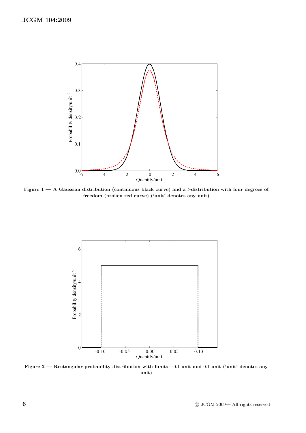

<span id="page-13-0"></span>Figure  $1 - A$  Gaussian distribution (continuous black curve) and a t-distribution with four degrees of freedom (broken red curve) ('unit' denotes any unit)



<span id="page-13-1"></span>Figure 2 — Rectangular probability distribution with limits −0.1 unit and 0.1 unit ('unit' denotes any unit)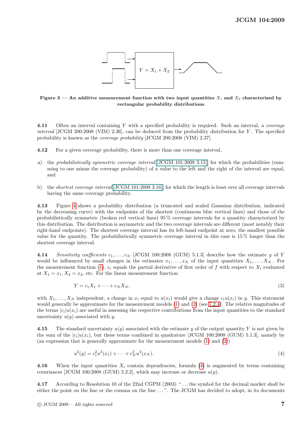

<span id="page-14-0"></span>Figure 3 — An additive measurement function with two input quantities  $X_1$  and  $X_2$  characterized by rectangular probability distributions

4.11 Often an interval containing Y with a specified probability is required. Such an interval, a *coverage* interval [JCGM 200:2008 (VIM) 2.36], can be deduced from the probability distribution for Y. The specified probability is known as the coverage probability [JCGM 200:2008 (VIM) 2.37].

4.12 For a given coverage probability, there is more than one coverage interval,

- a) the probabilistically symmetric coverage interval [\[JCGM 101:2008 3.15\],](#page-11-7) for which the probabilities (summing to one minus the coverage probability) of a value to the left and the right of the interval are equal, and
- b) the shortest coverage interval [\[JCGM 101:2008 3.16\],](#page-11-8) for which the length is least over all coverage intervals having the same coverage probability.

4.13 Figure [4](#page-15-1) shows a probability distribution (a truncated and scaled Gaussian distribution, indicated by the decreasing curve) with the endpoints of the shortest (continuous blue vertical lines) and those of the probabilistically symmetric (broken red vertical lines) 95 % coverage intervals for a quantity characterized by this distribution. The distribution is asymmetric and the two coverage intervals are different (most notably their right-hand endpoints). The shortest coverage interval has its left-hand endpoint at zero, the smallest possible value for the quantity. The probabilistically symmetric coverage interval in this case is 15 % longer than the shortest coverage interval.

<span id="page-14-2"></span>4.14 Sensitivity coefficients  $c_1, \ldots, c_N$  [JCGM 100:2008 (GUM) 5.1.3] describe how the estimate y of Y would be influenced by small changes in the estimates  $x_1, \ldots, x_N$  of the input quantities  $X_1, \ldots, X_N$ . For the measurement function [\(1\)](#page-11-2),  $c_i$  equals the partial derivative of first order of f with respect to  $X_i$  evaluated at  $X_1 = x_1, X_2 = x_2$ , etc. For the linear measurement function

<span id="page-14-3"></span>
$$
Y = c_1 X_1 + \dots + c_N X_N,\tag{3}
$$

with  $X_1, \ldots, X_N$  independent, a change in  $x_i$  equal to  $u(x_i)$  would give a change  $c_iu(x_i)$  in y. This statement would generally be approximate for the measurement models [\(1\)](#page-11-2) and [\(2\)](#page-11-1) (see [7.2.4\)](#page-18-1). The relative magnitudes of the terms  $|c_i|u(x_i)$  are useful in assessing the respective contributions from the input quantities to the standard uncertainty  $u(y)$  associated with y.

4.15 The standard uncertainty  $u(y)$  associated with the estimate y of the output quantity Y is not given by the sum of the  $|c_i|u(x_i)$ , but these terms combined in quadrature [JCGM 100:2008 (GUM) 5.1.3], namely by (an expression that is generally approximate for the measurement models [\(1\)](#page-11-2) and [\(2\)](#page-11-1))

<span id="page-14-1"></span>
$$
u^{2}(y) = c_{1}^{2}u^{2}(x_{1}) + \cdots + c_{N}^{2}u^{2}(x_{N}).
$$
\n(4)

4.16 When the input quantities  $X_i$  contain dependencies, formula [\(4\)](#page-14-1) is augmented by terms containing covariances [JCGM 100:2008 (GUM) 5.2.2], which may increase or decrease  $u(y)$ .

4.17 According to Resolution 10 of the 22nd CGPM (2003) " . . . the symbol for the decimal marker shall be either the point on the line or the comma on the line ...". The JCGM has decided to adopt, in its documents

 $\odot$  JCGM 2009— All rights reserved  $7$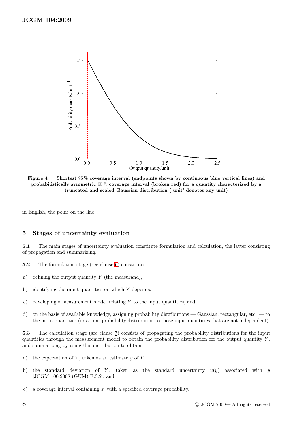

<span id="page-15-1"></span>Figure 4 — Shortest 95 % coverage interval (endpoints shown by continuous blue vertical lines) and probabilistically symmetric 95 % coverage interval (broken red) for a quantity characterized by a truncated and scaled Gaussian distribution ('unit' denotes any unit)

in English, the point on the line.

#### <span id="page-15-0"></span>5 Stages of uncertainty evaluation

5.1 The main stages of uncertainty evaluation constitute formulation and calculation, the latter consisting of propagation and summarizing.

- 5.2 The formulation stage (see clause [6\)](#page-16-0) constitutes
- a) defining the output quantity  $Y$  (the measurand),
- b) identifying the input quantities on which  $Y$  depends,
- c) developing a measurement model relating Y to the input quantities, and
- d) on the basis of available knowledge, assigning probability distributions Gaussian, rectangular, etc. to the input quantities (or a joint probability distribution to those input quantities that are not independent).

5.3 The calculation stage (see clause [7\)](#page-17-0) consists of propagating the probability distributions for the input quantities through the measurement model to obtain the probability distribution for the output quantity  $Y$ , and summarizing by using this distribution to obtain

- a) the expectation of Y, taken as an estimate  $y$  of Y.
- b) the standard deviation of Y, taken as the standard uncertainty  $u(y)$  associated with y [JCGM 100:2008 (GUM) E.3.2], and
- c) a coverage interval containing Y with a specified coverage probability.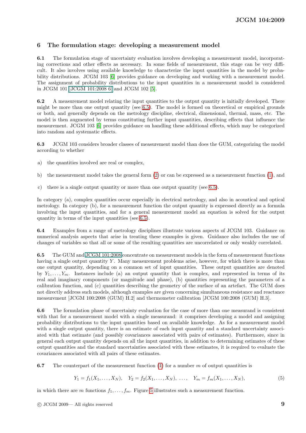#### <span id="page-16-2"></span><span id="page-16-0"></span>6 The formulation stage: developing a measurement model

6.1 The formulation stage of uncertainty evaluation involves developing a measurement model, incorporating corrections and other effects as necessary. In some fields of measurement, this stage can be very difficult. It also involves using available knowledge to characterize the input quantities in the model by probability distributions. JCGM 103 [\[6\]](#page-24-4) provides guidance on developing and working with a measurement model. The assignment of probability distributions to the input quantities in a measurement model is considered in JCGM 101 [\[JCGM 101:2008 6\]](#page-16-0) and JCGM 102 [\[5\]](#page-24-3).

<span id="page-16-3"></span>6.2 A measurement model relating the input quantities to the output quantity is initially developed. There might be more than one output quantity (see  $6.5$ ). The model is formed on theoretical or empirical grounds or both, and generally depends on the metrology discipline, electrical, dimensional, thermal, mass, etc. The model is then augmented by terms constituting further input quantities, describing effects that influence the measurement. JCGM 103 [\[6\]](#page-24-4) provides guidance on handling these additional effects, which may be categorized into random and systematic effects.

6.3 JCGM 103 considers broader classes of measurement model than does the GUM, categorizing the model according to whether

- a) the quantities involved are real or complex,
- b) the measurement model takes the general form [\(2\)](#page-11-1) or can be expressed as a measurement function [\(1\)](#page-11-2), and
- c) there is a single output quantity or more than one output quantity (see [6.5\)](#page-16-1).

In category (a), complex quantities occur especially in electrical metrology, and also in acoustical and optical metrology. In category (b), for a measurement function the output quantity is expressed directly as a formula involving the input quantities, and for a general measurement model an equation is solved for the output quantity in terms of the input quantities (see [6.5\)](#page-16-1).

6.4 Examples from a range of metrology disciplines illustrate various aspects of JCGM 103. Guidance on numerical analysis aspects that arise in treating these examples is given. Guidance also includes the use of changes of variables so that all or some of the resulting quantities are uncorrelated or only weakly correlated.

<span id="page-16-1"></span>6.5 The GUM and [JCGM 101:2008](#page-0-0) concentrate on measurement models in the form of measurement functions having a single output quantity Y. Many measurement problems arise, however, for which there is more than one output quantity, depending on a common set of input quantities. These output quantities are denoted by  $Y_1, \ldots, Y_m$ . Instances include (a) an output quantity that is complex, and represented in terms of its real and imaginary components (or magnitude and phase), (b) quantities representing the parameters of a calibration function, and (c) quantities describing the geometry of the surface of an artefact. The GUM does not directly address such models, although examples are given concerning simultaneous resistance and reactance measurement [JCGM 100:2008 (GUM) H.2] and thermometer calibration [JCGM 100:2008 (GUM) H.3].

6.6 The formulation phase of uncertainty evaluation for the case of more than one measurand is consistent with that for a measurement model with a single measurand: it comprises developing a model and assigning probability distributions to the input quantities based on available knowledge. As for a measurement model with a single output quantity, there is an estimate of each input quantity and a standard uncertainty associated with that estimate (and possibly covariances associated with pairs of estimates). Furthermore, since in general each output quantity depends on all the input quantities, in addition to determining estimates of these output quantities and the standard uncertainties associated with these estimates, it is required to evaluate the covariances associated with all pairs of these estimates.

**6.7** The counterpart of the measurement function  $(1)$  for a number m of output quantities is

$$
Y_1 = f_1(X_1, \dots, X_N), \quad Y_2 = f_2(X_1, \dots, X_N), \quad \dots, \quad Y_m = f_m(X_1, \dots, X_N), \tag{5}
$$

in which there are m functions  $f_1, \ldots, f_m$ . Figure [5](#page-17-2) illustrates such a measurement function.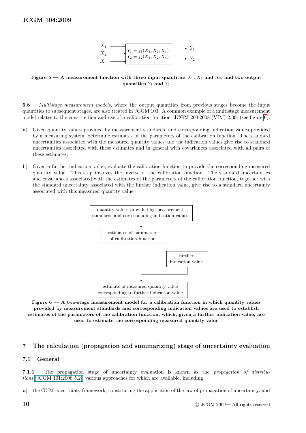

<span id="page-17-2"></span>Figure 5 — A measurement function with three input quantities  $X_1$ ,  $X_2$  and  $X_3$ , and two output quantities  $Y_1$  and  $Y_2$ 

<span id="page-17-4"></span>6.8 *Multistage measurement models*, where the output quantities from previous stages become the input quantities to subsequent stages, are also treated in JCGM 103. A common example of a multistage measurement model relates to the construction and use of a calibration function [JCGM 200:2008 (VIM) 2.39] (see figure [6\)](#page-17-3):

- a) Given quantity values provided by measurement standards, and corresponding indication values provided by a measuring system, determine estimates of the parameters of the calibration function. The standard uncertainties associated with the measured quantity values and the indication values give rise to standard uncertainties associated with these estimates and in general with covariances associated with all pairs of these estimates;
- b) Given a further indication value, evaluate the calibration function to provide the corresponding measured quantity value. This step involves the inverse of the calibration function. The standard uncertainties and covariances associated with the estimates of the parameters of the calibration function, together with the standard uncertainty associated with the further indication value, give rise to a standard uncertainty associated with this measured quantity value.



<span id="page-17-3"></span>Figure  $6 - A$  two-stage measurement model for a calibration function in which quantity values provided by measurement standards and corresponding indication values are used to establish estimates of the parameters of the calibration function, which, given a further indication value, are used to estimate the corresponding measured quantity value

## <span id="page-17-0"></span>7 The calculation (propagation and summarizing) stage of uncertainty evaluation

#### <span id="page-17-1"></span>7.1 General

7.1.1 The propagation stage of uncertainty evaluation is known as the propagation of distributions [JCGM 101:2008 5.2], various approaches for which are available, including

a) the GUM uncertainty framework, constituting the application of the law of propagation of uncertainty, and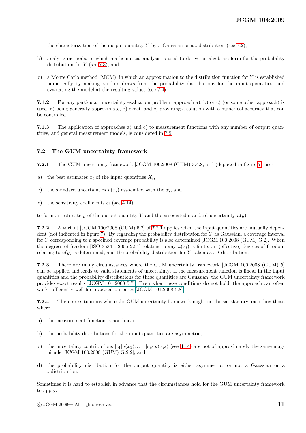the characterization of the output quantity Y by a Gaussian or a t-distribution (see  $7.2$ ),

- b) analytic methods, in which mathematical analysis is used to derive an algebraic form for the probability distribution for  $Y$  (see  $7.3$ ), and
- c) a Monte Carlo method (MCM), in which an approximation to the distribution function for Y is established numerically by making random draws from the probability distributions for the input quantities, and evaluating the model at the resulting values (see [7.4\)](#page-20-0).

7.1.2 For any particular uncertainty evaluation problem, approach a), b) or c) (or some other approach) is used, a) being generally approximate, b) exact, and c) providing a solution with a numerical accuracy that can be controlled.

7.1.3 The application of approaches a) and c) to measurement functions with any number of output quantities, and general measurement models, is considered in [7.5.](#page-20-1)

#### <span id="page-18-2"></span><span id="page-18-0"></span>7.2 The GUM uncertainty framework

7.2.1 The GUM uncertainty framework [JCGM 100:2008 (GUM) 3.4.8, 5.1] (depicted in figure [7\)](#page-19-1) uses

- a) the best estimates  $x_i$  of the input quantities  $X_i$ ,
- b) the standard uncertainties  $u(x_i)$  associated with the  $x_i$ , and
- c) the sensitivity coefficients  $c_i$  (see [4.14\)](#page-14-2)

to form an estimate y of the output quantity Y and the associated standard uncertainty  $u(y)$ .

7.2.2 A variant [JCGM 100:2008 (GUM) 5.2] of [7.2.1](#page-18-2) applies when the input quantities are mutually depen-dent (not indicated in figure [7\)](#page-19-1). By regarding the probability distribution for  $Y$  as Gaussian, a coverage interval for Y corresponding to a specified coverage probability is also determined [JCGM 100:2008 (GUM) G.2]. When the degrees of freedom [ISO 3534-1:2006 2.54] relating to any  $u(x_i)$  is finite, an (effective) degrees of freedom relating to  $u(y)$  is determined, and the probability distribution for Y taken as a t-distribution.

7.2.3 There are many circumstances where the GUM uncertainty framework [JCGM 100:2008 (GUM) 5] can be applied and leads to valid statements of uncertainty. If the measurement function is linear in the input quantities and the probability distributions for these quantities are Gaussian, the GUM uncertainty framework provides exact results [JCGM 101:2008 5.7]. Even when these conditions do not hold, the approach can often work sufficiently well for practical purposes [JCGM 101:2008 5.8].

<span id="page-18-1"></span>7.2.4 There are situations where the GUM uncertainty framework might not be satisfactory, including those where

- a) the measurement function is non-linear,
- b) the probability distributions for the input quantities are asymmetric,
- c) the uncertainty contributions  $|c_1|u(x_1), \ldots, |c_N|u(x_N)$  (see [4.14\)](#page-14-2) are not of approximately the same magnitude [JCGM 100:2008 (GUM) G.2.2], and
- d) the probability distribution for the output quantity is either asymmetric, or not a Gaussian or a t-distribution.

Sometimes it is hard to establish in advance that the circumstances hold for the GUM uncertainty framework to apply.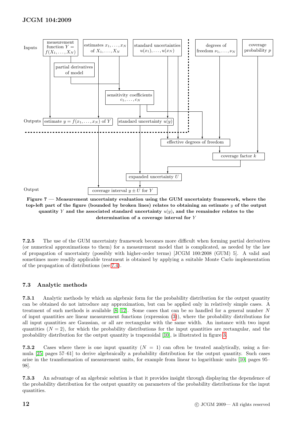

<span id="page-19-1"></span>Figure 7 — Measurement uncertainty evaluation using the GUM uncertainty framework, where the top-left part of the figure (bounded by broken lines) relates to obtaining an estimate  $y$  of the output quantity Y and the associated standard uncertainty  $u(y)$ , and the remainder relates to the determination of a coverage interval for Y

7.2.5 The use of the GUM uncertainty framework becomes more difficult when forming partial derivatives (or numerical approximations to them) for a measurement model that is complicated, as needed by the law of propagation of uncertainty (possibly with higher-order terms) [JCGM 100:2008 (GUM) 5]. A valid and sometimes more readily applicable treatment is obtained by applying a suitable Monte Carlo implementation of the propagation of distributions (see [7.4\)](#page-20-0).

#### <span id="page-19-2"></span><span id="page-19-0"></span>7.3 Analytic methods

7.3.1 Analytic methods by which an algebraic form for the probability distribution for the output quantity can be obtained do not introduce any approximation, but can be applied only in relatively simple cases. A treatment of such methods is available  $[8, 12]$  $[8, 12]$ . Some cases that can be so handled for a general number N of input quantities are linear measurement functions (expression [\(3\)](#page-14-3)), where the probability distributions for all input quantities are Gaussian, or all are rectangular with the same width. An instance with two input quantities  $(N = 2)$ , for which the probability distributions for the input quantities are rectangular, and the probability distribution for the output quantity is trapezoidal [\[10\]](#page-24-11), is illustrated in figure [3.](#page-14-0)

<span id="page-19-3"></span>7.3.2 Cases where there is one input quantity  $(N = 1)$  can often be treated analytically, using a formula [\[25,](#page-25-2) pages 57–61] to derive algebraically a probability distribution for the output quantity. Such cases arise in the transformation of measurement units, for example from linear to logarithmic units [\[10,](#page-24-11) pages 95– 98].

7.3.3 An advantage of an algebraic solution is that it provides insight through displaying the dependence of the probability distribution for the output quantity on parameters of the probability distributions for the input quantities.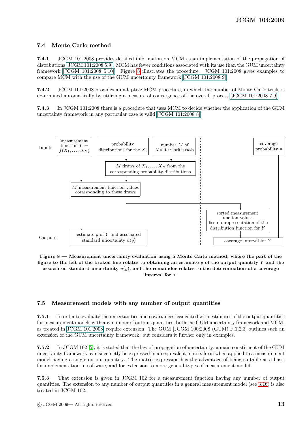#### <span id="page-20-0"></span>7.4 Monte Carlo method

7.4.1 JCGM 101:2008 provides detailed information on MCM as an implementation of the propagation of distributions [JCGM 101:2008 5.9]. MCM has fewer conditions associated with its use than the GUM uncertainty framework [JCGM 101:2008 5.10]. Figure [8](#page-20-2) illustrates the procedure. JCGM 101:2008 gives examples to compare MCM with the use of the GUM uncertainty framework [\[JCGM 101:2008 9\].](#page-22-0)

7.4.2 JCGM 101:2008 provides an adaptive MCM procedure, in which the number of Monte Carlo trials is determined automatically by utilizing a measure of convergence of the overall process [JCGM 101:2008 7.9].

7.4.3 In JCGM 101:2008 there is a procedure that uses MCM to decide whether the application of the GUM uncertainty framework in any particular case is valid [\[JCGM 101:2008 8\].](#page-21-0)



<span id="page-20-2"></span>Figure 8 — Measurement uncertainty evaluation using a Monte Carlo method, where the part of the figure to the left of the broken line relates to obtaining an estimate  $y$  of the output quantity  $Y$  and the associated standard uncertainty  $u(y)$ , and the remainder relates to the determination of a coverage interval for Y

#### <span id="page-20-1"></span>7.5 Measurement models with any number of output quantities

7.5.1 In order to evaluate the uncertainties and covariances associated with estimates of the output quantities for measurement models with any number of output quantities, both the GUM uncertainty framework and MCM, as treated in [JCGM 101:2008,](#page-0-0) require extension. The GUM [JCGM 100:2008 (GUM) F.1.2.3] outlines such an extension of the GUM uncertainty framework, but considers it further only in examples.

<span id="page-20-3"></span>7.5.2 In JCGM 102 [\[5\]](#page-24-3), it is stated that the law of propagation of uncertainty, a main constituent of the GUM uncertainty framework, can succinctly be expressed in an equivalent matrix form when applied to a measurement model having a single output quantity. The matrix expression has the advantage of being suitable as a basis for implementation in software, and for extension to more general types of measurement model.

7.5.3 That extension is given in JCGM 102 for a measurement function having any number of output quantities. The extension to any number of output quantities in a general measurement model (see [3.16\)](#page-11-8) is also treated in JCGM 102.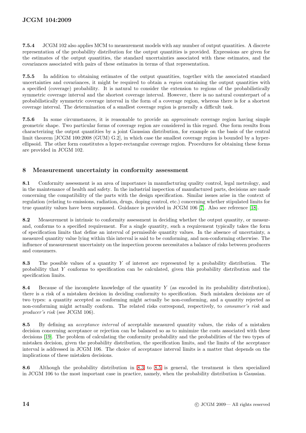7.5.4 JCGM 102 also applies MCM to measurement models with any number of output quantities. A discrete representation of the probability distribution for the output quantities is provided. Expressions are given for the estimates of the output quantities, the standard uncertainties associated with these estimates, and the covariances associated with pairs of these estimates in terms of that representation.

7.5.5 In addition to obtaining estimates of the output quantities, together with the associated standard uncertainties and covariances, it might be required to obtain a region containing the output quantities with a specified (coverage) probability. It is natural to consider the extension to regions of the probabilistically symmetric coverage interval and the shortest coverage interval. However, there is no natural counterpart of a probabilistically symmetric coverage interval in the form of a coverage region, whereas there is for a shortest coverage interval. The determination of a smallest coverage region is generally a difficult task.

7.5.6 In some circumstances, it is reasonable to provide an approximate coverage region having simple geometric shape. Two particular forms of coverage region are considered in this regard. One form results from characterizing the output quantities by a joint Gaussian distribution, for example on the basis of the central limit theorem [JCGM 100:2008 (GUM) G.2], in which case the smallest coverage region is bounded by a hyperellipsoid. The other form constitutes a hyper-rectangular coverage region. Procedures for obtaining these forms are provided in JCGM 102.

## <span id="page-21-3"></span><span id="page-21-0"></span>8 Measurement uncertainty in conformity assessment

8.1 Conformity assessment is an area of importance in manufacturing quality control, legal metrology, and in the maintenance of health and safety. In the industrial inspection of manufactured parts, decisions are made concerning the compatibility of the parts with the design specification. Similar issues arise in the context of regulation (relating to emissions, radiation, drugs, doping control, etc.) concerning whether stipulated limits for true quantity values have been surpassed. Guidance is provided in JCGM 106 [\[7\]](#page-24-5). Also see reference [\[18\]](#page-24-12).

8.2 Measurement is intrinsic to conformity assessment in deciding whether the output quantity, or measurand, conforms to a specified requirement. For a single quantity, such a requirement typically takes the form of specification limits that define an interval of permissible quantity values. In the absence of uncertainty, a measured quantity value lying within this interval is said to be conforming, and non-conforming otherwise. The influence of measurement uncertainty on the inspection process necessitates a balance of risks between producers and consumers.

<span id="page-21-1"></span>8.3 The possible values of a quantity Y of interest are represented by a probability distribution. The probability that Y conforms to specification can be calculated, given this probability distribution and the specification limits.

8.4 Because of the incomplete knowledge of the quantity Y (as encoded in its probability distribution), there is a risk of a mistaken decision in deciding conformity to specification. Such mistaken decisions are of two types: a quantity accepted as conforming might actually be non-conforming, and a quantity rejected as non-conforming might actually conform. The related risks correspond, respectively, to *consumer's risk* and producer's risk (see JCGM 106).

<span id="page-21-2"></span>8.5 By defining an *acceptance interval* of acceptable measured quantity values, the risks of a mistaken decision concerning acceptance or rejection can be balanced so as to minimize the costs associated with these decisions [\[19\]](#page-24-13). The problem of calculating the conformity probability and the probabilities of the two types of mistaken decision, given the probability distribution, the specification limits, and the limits of the acceptance interval is addressed in JCGM 106. The choice of acceptance interval limits is a matter that depends on the implications of these mistaken decisions.

8.6 Although the probability distribution in [8.3](#page-21-1) to [8.5](#page-21-2) is general, the treatment is then specialized in JCGM 106 to the most important case in practice, namely, when the probability distribution is Gaussian.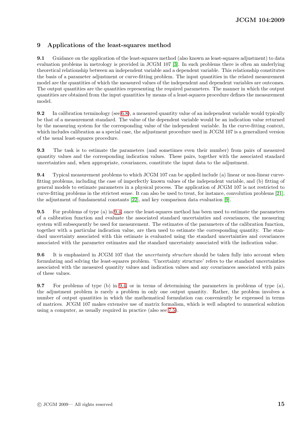## <span id="page-22-2"></span><span id="page-22-0"></span>9 Applications of the least-squares method

9.1 Guidance on the application of the least-squares method (also known as least-squares adjustment) to data evaluation problems in metrology is provided in JCGM 107 [\[3\]](#page-24-1). In such problems there is often an underlying theoretical relationship between an independent variable and a dependent variable. This relationship constitutes the basis of a parameter adjustment or curve-fitting problem. The input quantities in the related measurement model are the quantities of which the measured values of the independent and dependent variables are outcomes. The output quantities are the quantities representing the required parameters. The manner in which the output quantities are obtained from the input quantities by means of a least-squares procedure defines the measurement model.

9.2 In calibration terminology (see [6.8\)](#page-17-4), a measured quantity value of an independent variable would typically be that of a measurement standard. The value of the dependent variable would be an indication value returned by the measuring system for the corresponding value of the independent variable. In the curve-fitting context, which includes calibration as a special case, the adjustment procedure used in JCGM 107 is a generalized version of the usual least-squares procedure.

9.3 The task is to estimate the parameters (and sometimes even their number) from pairs of measured quantity values and the corresponding indication values. These pairs, together with the associated standard uncertainties and, when appropriate, covariances, constitute the input data to the adjustment.

<span id="page-22-1"></span>9.4 Typical measurement problems to which JCGM 107 can be applied include (a) linear or non-linear curvefitting problems, including the case of imperfectly known values of the independent variable, and (b) fitting of general models to estimate parameters in a physical process. The application of JCGM 107 is not restricted to curve-fitting problems in the strictest sense. It can also be used to treat, for instance, convolution problems [\[21\]](#page-24-14), the adjustment of fundamental constants [\[22\]](#page-24-15), and key comparison data evaluation [\[9\]](#page-24-16).

9.5 For problems of type (a) in [9.4,](#page-22-1) once the least-squares method has been used to estimate the parameters of a calibration function and evaluate the associated standard uncertainties and covariances, the measuring system will subsequently be used for measurement. The estimates of the parameters of the calibration function, together with a particular indication value, are then used to estimate the corresponding quantity. The standard uncertainty associated with this estimate is evaluated using the standard uncertainties and covariances associated with the parameter estimates and the standard uncertainty associated with the indication value.

**9.6** It is emphasized in JCGM 107 that the *uncertainty structure* should be taken fully into account when formulating and solving the least-squares problem. 'Uncertainty structure' refers to the standard uncertainties associated with the measured quantity values and indication values and any covariances associated with pairs of these values.

9.7 For problems of type (b) in [9.4,](#page-22-1) or in terms of determining the parameters in problems of type (a), the adjustment problem is rarely a problem in only one output quantity. Rather, the problem involves a number of output quantities in which the mathematical formulation can conveniently be expressed in terms of matrices. JCGM 107 makes extensive use of matrix formalism, which is well adapted to numerical solution using a computer, as usually required in practice (also see [7.5\)](#page-20-1).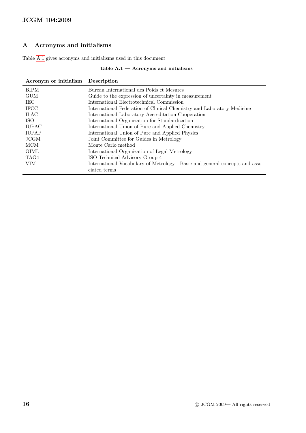## <span id="page-23-0"></span>A Acronyms and initialisms

Table [A.1](#page-23-1) gives acronyms and initialisms used in this document

<span id="page-23-1"></span>

| Table $A.1 - A$ cronyms and initialisms |  |  |  |
|-----------------------------------------|--|--|--|
|-----------------------------------------|--|--|--|

| Acronym or initialism | Description                                                                |
|-----------------------|----------------------------------------------------------------------------|
| <b>BIPM</b>           | Bureau International des Poids et Mesures                                  |
| <b>GUM</b>            | Guide to the expression of uncertainty in measurement                      |
| <b>IEC</b>            | International Electrotechnical Commission                                  |
| <b>IFCC</b>           | International Federation of Clinical Chemistry and Laboratory Medicine     |
| <b>ILAC</b>           | International Laboratory Accreditation Cooperation                         |
| ISO.                  | International Organization for Standardization                             |
| <b>IUPAC</b>          | International Union of Pure and Applied Chemistry                          |
| <b>IUPAP</b>          | International Union of Pure and Applied Physics                            |
| JCGM                  | Joint Committee for Guides in Metrology                                    |
| MCM                   | Monte Carlo method                                                         |
| OIML                  | International Organization of Legal Metrology                              |
| TAG4                  | ISO Technical Advisory Group 4                                             |
| <b>VIM</b>            | International Vocabulary of Metrology—Basic and general concepts and asso- |
|                       | ciated terms                                                               |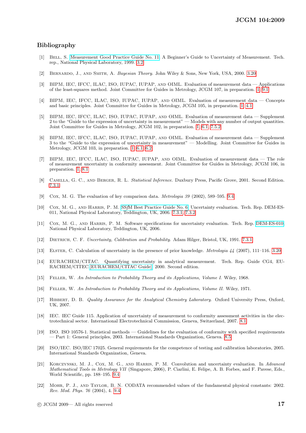#### <span id="page-24-6"></span><span id="page-24-0"></span>Bibliography

- [1] Bell, S. [Measurement Good Practice Guide No. 11.](http://resource.npl.co.uk/cgi-bin/download.pl?area=npl_publications&path_name=/npl_web/pdf/mgpg11.pdf) A Beginner's Guide to Uncertainty of Measurement. Tech. rep., National Physical Laboratory, 1999. [3.2](#page-9-3)
- <span id="page-24-7"></span><span id="page-24-1"></span>[2] Bernardo, J., and Smith, A. Bayesian Theory. John Wiley & Sons, New York, USA, 2000. [3.20](#page-11-4)
- [3] BIPM, IEC, IFCC, ILAC, ISO, IUPAC, IUPAP, and OIML. Evaluation of measurement data Applications of the least-squares method. Joint Committee for Guides in Metrology, JCGM 107, in preparation. [1,](#page-8-0) [9.1](#page-22-2)
- <span id="page-24-2"></span>[4] BIPM, IEC, IFCC, ILAC, ISO, IUPAC, IUPAP, and OIML. Evaluation of measurement data — Concepts and basic principles. Joint Committee for Guides in Metrology, JCGM 105, in preparation. [1,](#page-8-0) [4.1](#page-11-9)
- <span id="page-24-3"></span>[5] BIPM, IEC, IFCC, ILAC, ISO, IUPAC, IUPAP, and OIML. Evaluation of measurement data — Supplement 2 to the "Guide to the expression of uncertainty in measurement" — Models with any number of output quantities. Joint Committee for Guides in Metrology, JCGM 102, in preparation. [1,](#page-8-0) [6.1,](#page-16-2) [7.5.2](#page-20-3)
- <span id="page-24-4"></span>[6] BIPM, IEC, IFCC, ILAC, ISO, IUPAC, IUPAP, and OIML. Evaluation of measurement data — Supplement 3 to the "Guide to the expression of uncertainty in measurement" — Modelling. Joint Committee for Guides in Metrology, JCGM 103, in preparation. [1,](#page-8-0) [6.1,](#page-16-2) [6.2](#page-16-3)
- <span id="page-24-5"></span>[7] BIPM, IEC, IFCC, ILAC, ISO, IUPAC, IUPAP, and OIML. Evaluation of measurement data — The role of measurement uncertainty in conformity assessment. Joint Committee for Guides in Metrology, JCGM 106, in preparation. [1,](#page-8-0) [8.1](#page-21-3)
- <span id="page-24-9"></span>[8] CASELLA, G. C., AND BERGER, R. L. Statistical Inference. Duxbury Press, Pacific Grove, 2001. Second Edition. [7.3.1](#page-19-2)
- <span id="page-24-16"></span><span id="page-24-11"></span>[9] Cox, M. G. The evaluation of key comparison data. Metrologia 39 (2002), 589–595. [9.4](#page-22-1)
- [10] COX, M. G., AND HARRIS, P. M. SSf[M Best Practice Guide No. 6,](http://publications.npl.co.uk/npl_web/pdf/dem_es11.pdf) Uncertainty evaluation. Tech. Rep. DEM-ES-011, National Physical Laboratory, Teddington, UK, 2006. [7.3.1,](#page-19-2) [7.3.2](#page-19-3)
- [11] Cox, M. G., and Harris, P. M. Software specifications for uncertainty evaluation. Tech. Rep. [DEM-ES-010,](http://publications.npl.co.uk/npl_web/pdf/dem_es10.pdf) National Physical Laboratory, Teddington, UK, 2006.
- <span id="page-24-10"></span><span id="page-24-8"></span>[12] Dietrich, C. F. Uncertainty, Calibration and Probability. Adam Hilger, Bristol, UK, 1991. [7.3.1](#page-19-2)
- [13] Elster, C. Calculation of uncertainty in the presence of prior knowledge. Metrologia 44 (2007), 111–116. [3.20](#page-11-4)
- [14] EURACHEM/CITAC. Quantifying uncertainty in analytical measurement. Tech. Rep. Guide CG4, EU-RACHEM/CITEC[,\[EURACHEM/CITAC Guide\],](http://www.measurementuncertainty.org/mu/guide/index.html) 2000. Second edition.
- [15] FELLER, W. An Introduction to Probability Theory and its Applications, Volume I. Wiley, 1968.
- [16] Feller, W. An Introduction to Probability Theory and its Applications, Volume II. Wiley, 1971.
- [17] Hibbert, D. B. Quality Assurance for the Analytical Chemistry Laboratory. Oxford University Press, Oxford, UK, 2007.
- <span id="page-24-12"></span>[18] IEC. IEC Guide 115. Application of uncertainty of measurement to conformity assessment activities in the electrotechnical sector. International Electrotechnical Commission, Geneva, Switzerland, 2007. [8.1](#page-21-3)
- <span id="page-24-13"></span>[19] ISO. ISO 10576-1. Statistical methods — Guidelines for the evaluation of conformity with specified requirements — Part 1: General principles, 2003. International Standards Organization, Geneva. [8.5](#page-21-2)
- [20] ISO/IEC. ISO/IEC 17025. General requirements for the competence of testing and calibration laboratories, 2005. International Standards Organization, Geneva.
- <span id="page-24-14"></span>[21] Korczynski, M. J., Cox, M. G., and Harris, P. M. Convolution and uncertainty evaluation. In Advanced Mathematical Tools in Metrology VII (Singapore, 2006), P. Ciarlini, E. Felipe, A. B. Forbes, and F. Pavese, Eds., World Scientific, pp. 188–195. [9.4](#page-22-1)
- <span id="page-24-15"></span>[22] Mohr, P. J., and Taylor, B. N. CODATA recommended values of the fundamental physical constants: 2002. Rev. Mod. Phys. 76 (2004), 4. [9.4](#page-22-1)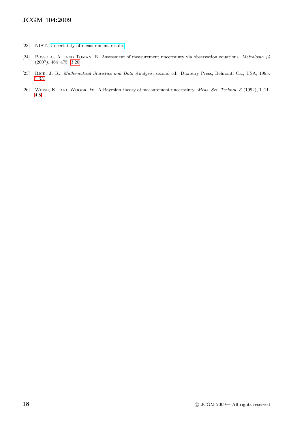## JCGM 104:2009

- <span id="page-25-0"></span>[23] NIST. [Uncertainty of measurement results.](http://physics.nist.gov/cuu/Uncertainty/index.html)
- [24] Possolo, A., and Toman, B. Assessment of measurement uncertainty via observation equations. Metrologia 44 (2007), 464–475. [3.20](#page-11-4)
- <span id="page-25-2"></span>[25] Rice, J. R. Mathematical Statistics and Data Analysis, second ed. Duxbury Press, Belmont, Ca., USA, 1995. [7.3.2](#page-19-3)
- <span id="page-25-1"></span>[26] WEISE, K., AND WÖGER, W. A Bayesian theory of measurement uncertainty. Meas. Sci. Technol. 3 (1992), 1-11. [4.8](#page-12-0)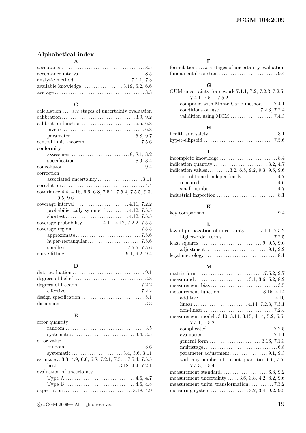## <span id="page-26-0"></span>Alphabetical index

#### A

| analytic method $\ldots \ldots \ldots \ldots \ldots \ldots \ldots \ldots$ 7.1.1, 7.3 |  |
|--------------------------------------------------------------------------------------|--|
| available knowledge $\dots\dots\dots\dots\dots\dots$ 3.19, 5.2, 6.6                  |  |
|                                                                                      |  |
|                                                                                      |  |

## C

| calculation $\ldots$ see stages of uncertainty evaluation                                         |
|---------------------------------------------------------------------------------------------------|
|                                                                                                   |
|                                                                                                   |
|                                                                                                   |
| $parameter \ldots \ldots \ldots \ldots \ldots \ldots \ldots \ldots \ldots \ldots \ldots 6.8, 9.7$ |
|                                                                                                   |
| conformity                                                                                        |
|                                                                                                   |
|                                                                                                   |
|                                                                                                   |
| correction                                                                                        |
| associated uncertainty3.11                                                                        |
|                                                                                                   |
| covariance 4.4, 4.16, 6.6, 6.8, 7.5.1, 7.5.4, 7.5.5, 9.3,                                         |
| 9.5, 9.6                                                                                          |
|                                                                                                   |
| probabilistically symmetric $\ldots \ldots \ldots 4.12, 7.5.5$                                    |
|                                                                                                   |
| coverage probability  4.11, 4.12, 7.2.2, 7.5.5                                                    |
|                                                                                                   |
| $approximate \ldots \ldots \ldots \ldots \ldots \ldots \ldots \ldots \ldots \ldots \ldots$        |
|                                                                                                   |
|                                                                                                   |
|                                                                                                   |

## D

| data evaluation $\dots\dots\dots\dots\dots\dots\dots\dots\dots\dots\dots$            |  |
|--------------------------------------------------------------------------------------|--|
|                                                                                      |  |
|                                                                                      |  |
|                                                                                      |  |
| design specification $\ldots \ldots \ldots \ldots \ldots \ldots \ldots \ldots$ . 8.1 |  |
|                                                                                      |  |

## E

| error quantity                                                                |
|-------------------------------------------------------------------------------|
|                                                                               |
| systematic $\ldots \ldots \ldots \ldots \ldots \ldots \ldots \ldots 3.4, 3.5$ |
| error value                                                                   |
|                                                                               |
|                                                                               |
| estimate . 3.3, 4.9, 6.6, 6.8, 7.2.1, 7.5.1, 7.5.4, 7.5.5                     |
|                                                                               |
| evaluation of uncertainty                                                     |
|                                                                               |
|                                                                               |
|                                                                               |

## F

| formulationsee stages of uncertainty evaluation               |  |  |  |
|---------------------------------------------------------------|--|--|--|
| fundamental constant $\dots\dots\dots\dots\dots\dots\dots9.4$ |  |  |  |

# G

| GUM uncertainty framework 7.1.1, 7.2, 7.2.3–7.2.5,                  |
|---------------------------------------------------------------------|
| 7.4.1, 7.5.1, 7.5.2                                                 |
| compared with Monte Carlo method $7.4.1$                            |
| conditions on use $\ldots \ldots \ldots \ldots \ldots$ 7.2.3, 7.2.4 |
|                                                                     |

## H

| health and safety $\dots \dots \dots \dots \dots \dots \dots \dots \dots$ 8.1          |  |
|----------------------------------------------------------------------------------------|--|
| hyper-ellipsoid $\ldots \ldots \ldots \ldots \ldots \ldots \ldots \ldots \ldots$ 7.5.6 |  |

## I

| indication quantity $\dots \dots \dots \dots \dots \dots \dots 3.2, 4.7$ |
|--------------------------------------------------------------------------|
| indication values3.2, 6.8, 9.2, 9.3, 9.5, 9.6                            |
|                                                                          |
|                                                                          |
|                                                                          |
|                                                                          |

## K

## L

| least squares $\dots \dots \dots \dots \dots \dots \dots \dots \dots$ 9, 9.5, 9.6 |
|-----------------------------------------------------------------------------------|
|                                                                                   |
|                                                                                   |

## M

| measurement bias3.5                                                                          |
|----------------------------------------------------------------------------------------------|
| measurement function $\ldots \ldots \ldots \ldots \ldots 3.15, 4.14$                         |
| $additive \ldots \ldots \ldots \ldots \ldots \ldots \ldots \ldots \ldots \ldots \ldots 4.10$ |
|                                                                                              |
|                                                                                              |
| measurement model . 3.10, 3.14, 3.15, 4.14, 5.2, 6.6,                                        |
| 7.5.1, 7.5.2                                                                                 |
|                                                                                              |
| evaluation $\ldots \ldots \ldots \ldots \ldots \ldots \ldots \ldots \ldots$ . 7.1.1          |
|                                                                                              |
|                                                                                              |
|                                                                                              |
| with any number of output quantities $.6.6, 7.5$ ,                                           |
| 7.5.3, 7.5.4                                                                                 |
|                                                                                              |
| measurement uncertainty $3.6, 3.8, 4.2, 8.2, 9.6$                                            |
|                                                                                              |
|                                                                                              |
|                                                                                              |